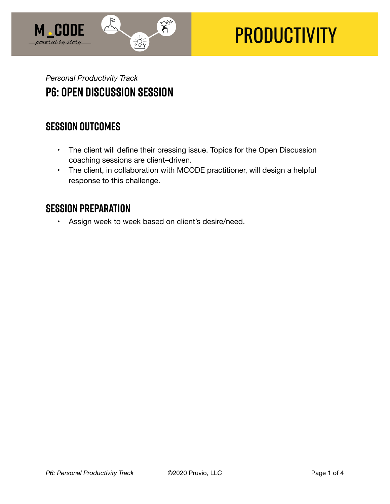

# **PRODUCTIVITY**

## *Personal Productivity Track*  **P6: Open Discussion Session**

#### **SESSION OUTCOMES**

- The client will define their pressing issue. Topics for the Open Discussion coaching sessions are client–driven.
- The client, in collaboration with MCODE practitioner, will design a helpful response to this challenge.

## **SESSION PREPARATION**

• Assign week to week based on client's desire/need.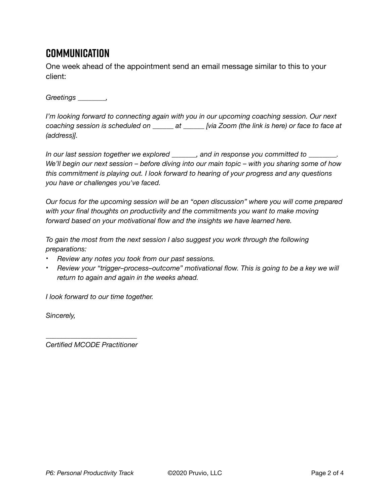## **Communication**

One week ahead of the appointment send an email message similar to this to your client:

*Greetings \_\_\_\_\_\_\_\_,* 

*I'm looking forward to connecting again with you in our upcoming coaching session. Our next coaching session is scheduled on \_\_\_\_\_\_ at \_\_\_\_\_\_ [via Zoom (the link is here) or face to face at (address)].* 

*In our last session together we explored \_\_\_\_\_\_\_, and in response you committed to \_\_\_\_\_\_\_\_. We'll begin our next session – before diving into our main topic – with you sharing some of how this commitment is playing out. I look forward to hearing of your progress and any questions you have or challenges you've faced.* 

*Our focus for the upcoming session will be an "open discussion" where you will come prepared with your final thoughts on productivity and the commitments you want to make moving forward based on your motivational flow and the insights we have learned here.* 

*To gain the most from the next session I also suggest you work through the following preparations:* 

- *Review any notes you took from our past sessions.*
- *Review your "trigger–process–outcome" motivational flow. This is going to be a key we will return to again and again in the weeks ahead.*

*I look forward to our time together.* 

*Sincerely,* 

*\_\_\_\_\_\_\_\_\_\_\_\_\_\_\_\_\_\_\_\_\_\_\_\_\_\_ Certified MCODE Practitioner*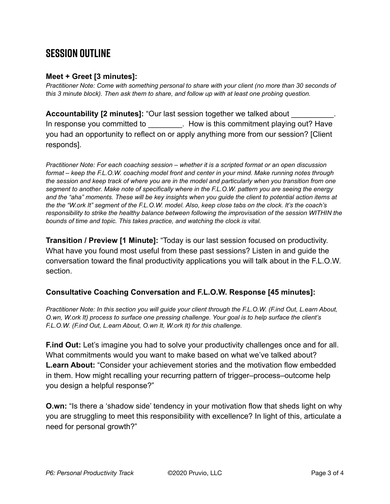## **SESSION OUTLINE**

#### **Meet + Greet [3 minutes]:**

*Practitioner Note: Come with something personal to share with your client (no more than 30 seconds of this 3 minute block). Then ask them to share, and follow up with at least one probing question.* 

**Accountability [2 minutes]:** "Our last session together we talked about \_\_\_\_\_\_\_\_\_\_. In response you committed to **Example 20 Set 10** How is this commitment playing out? Have you had an opportunity to reflect on or apply anything more from our session? [Client responds].

*Practitioner Note: For each coaching session – whether it is a scripted format or an open discussion format – keep the F.L.O.W. coaching model front and center in your mind. Make running notes through the session and keep track of where you are in the model and particularly when you transition from one segment to another. Make note of specifically where in the F.L.O.W. pattern you are seeing the energy and the "aha" moments. These will be key insights when you guide the client to potential action items at the the "W.ork It" segment of the F.L.O.W. model. Also, keep close tabs on the clock. It's the coach's responsibility to strike the healthy balance between following the improvisation of the session WITHIN the bounds of time and topic. This takes practice, and watching the clock is vital.*

**Transition / Preview [1 Minute]:** "Today is our last session focused on productivity. What have you found most useful from these past sessions? Listen in and guide the conversation toward the final productivity applications you will talk about in the F.L.O.W. section.

#### **Consultative Coaching Conversation and F.L.O.W. Response [45 minutes]:**

*Practitioner Note: In this section you will guide your client through the F.L.O.W. (F.ind Out, L.earn About, O.wn, W.ork It) process to surface one pressing challenge. Your goal is to help surface the client's F.L.O.W. (F.ind Out, L.earn About, O.wn It, W.ork It) for this challenge.*

**F.ind Out:** Let's imagine you had to solve your productivity challenges once and for all. What commitments would you want to make based on what we've talked about? **L.earn About:** "Consider your achievement stories and the motivation flow embedded in them. How might recalling your recurring pattern of trigger–process–outcome help you design a helpful response?"

**O.wn:** "Is there a 'shadow side' tendency in your motivation flow that sheds light on why you are struggling to meet this responsibility with excellence? In light of this, articulate a need for personal growth?"